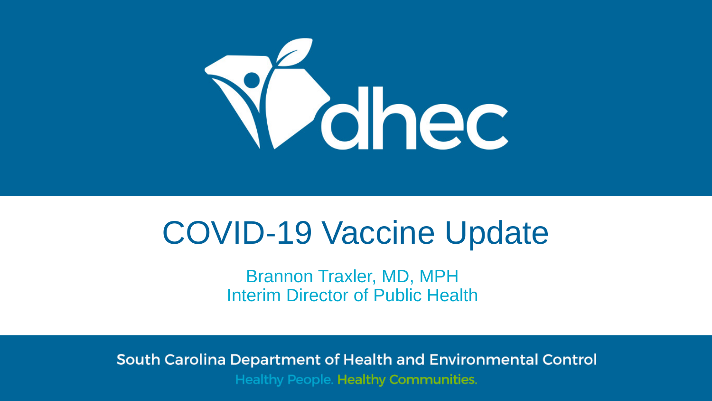

# COVID-19 Vaccine Update

Brannon Traxler, MD, MPH Interim Director of Public Health

South Carolina Department of Health and Environmental Control **Healthy People. Healthy Communities.**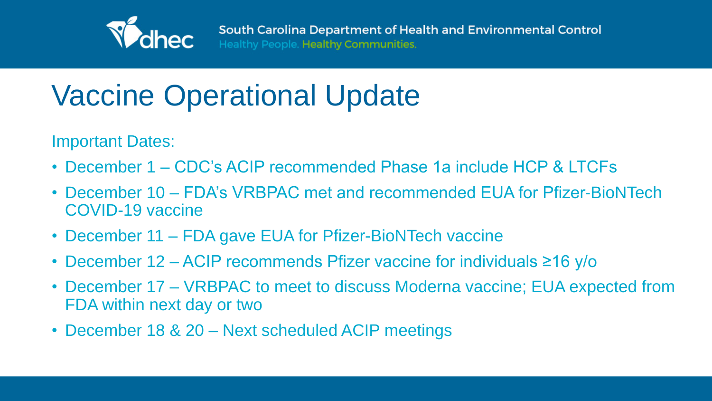

### Vaccine Operational Update

Important Dates:

- December 1 CDC's ACIP recommended Phase 1a include HCP & LTCFs • December 10 – FDA's VRBPAC met and recommended EUA for Pfizer-BioNTech
- COVID-19 vaccine
- December 11 FDA gave EUA for Pfizer-BioNTech vaccine
- December 12 ACIP recommends Pfizer vaccine for individuals ≥16 y/o
- December 17 VRBPAC to meet to discuss Moderna vaccine; EUA expected from FDA within next day or two
- December 18 & 20 Next scheduled ACIP meetings

South Carolina Department of Health and Environmental Control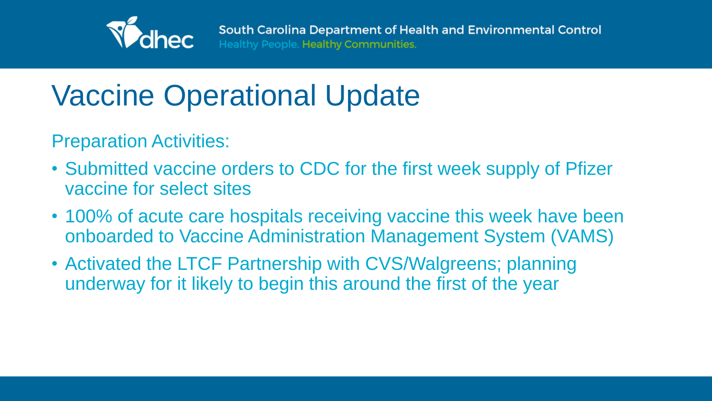

Preparation Activities:

- Submitted vaccine orders to CDC for the first week supply of Pfizer vaccine for select sites
- 100% of acute care hospitals receiving vaccine this week have been onboarded to Vaccine Administration Management System (VAMS)
- Activated the LTCF Partnership with CVS/Walgreens; planning underway for it likely to begin this around the first of the year

South Carolina Department of Health and Environmental Control

### Vaccine Operational Update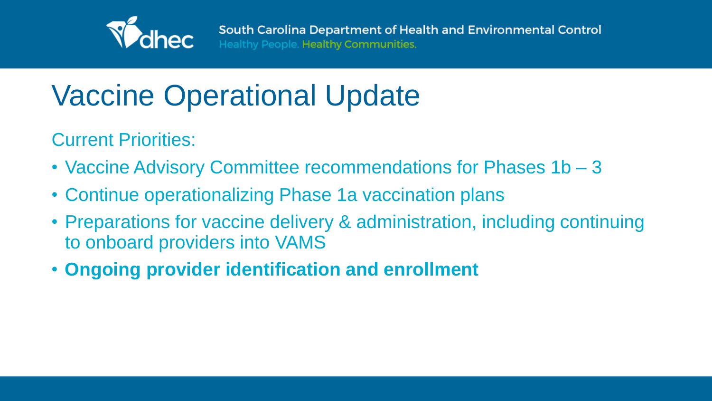

Current Priorities:

- Vaccine Advisory Committee recommendations for Phases 1b 3
- Continue operationalizing Phase 1a vaccination plans
- Preparations for vaccine delivery & administration, including continuing to onboard providers into VAMS
- **Ongoing provider identification and enrollment**

South Carolina Department of Health and Environmental Control

## Vaccine Operational Update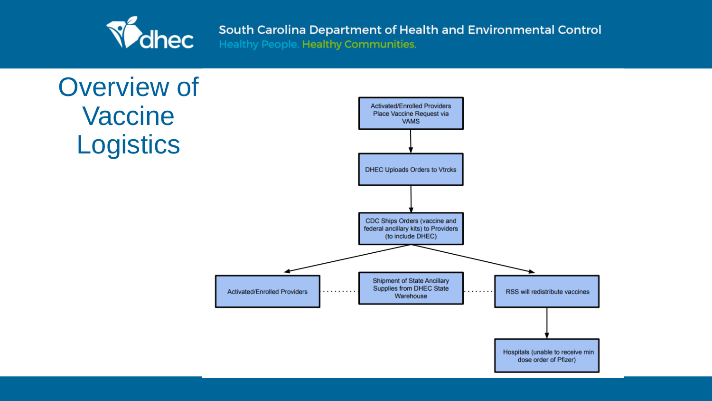

Healthy People. Healthy Communities.

### Overview of Vaccine Logistics

Activated/Enrolled Providers

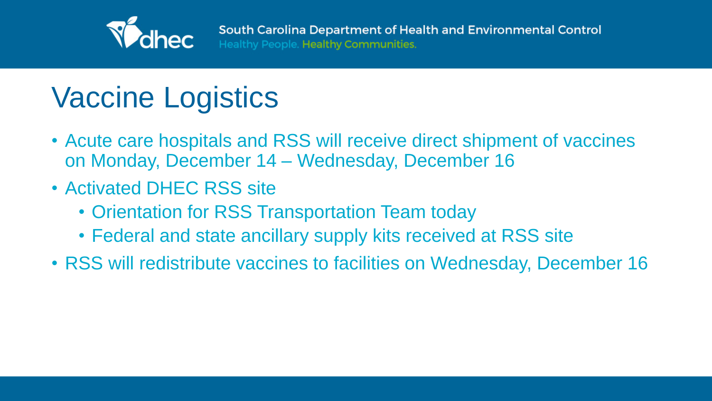

### Vaccine Logistics

- Acute care hospitals and RSS will receive direct shipment of vaccines on Monday, December 14 – Wednesday, December 16
- Activated DHEC RSS site
	- Orientation for RSS Transportation Team today
	- Federal and state ancillary supply kits received at RSS site
- RSS will redistribute vaccines to facilities on Wednesday, December 16